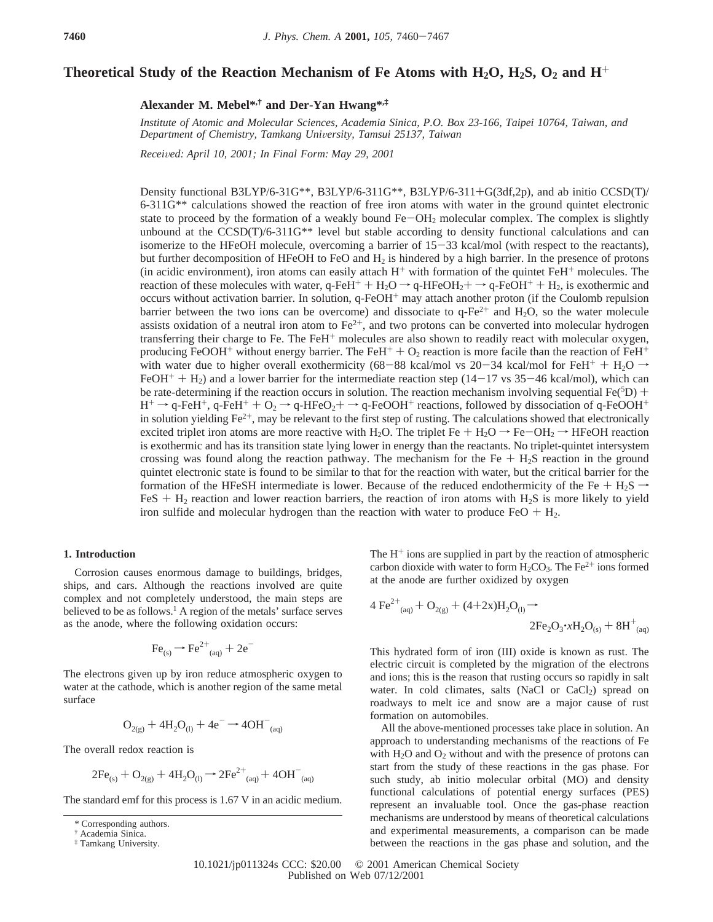# **Theoretical Study of the Reaction Mechanism of Fe Atoms with H2O, H2S, O2 and H**<sup>+</sup>

**Alexander M. Mebel\*,† and Der-Yan Hwang\*,‡**

*Institute of Atomic and Molecular Sciences, Academia Sinica, P.O. Box 23-166, Taipei 10764, Taiwan, and Department of Chemistry, Tamkang Uni*V*ersity, Tamsui 25137, Taiwan*

*Recei*V*ed: April 10, 2001; In Final Form: May 29, 2001*

Density functional B3LYP/6-31G\*\*, B3LYP/6-311G\*\*, B3LYP/6-311+G(3df,2p), and ab initio CCSD(T)/ 6-311G\*\* calculations showed the reaction of free iron atoms with water in the ground quintet electronic state to proceed by the formation of a weakly bound  $Fe-OH<sub>2</sub>$  molecular complex. The complex is slightly unbound at the  $CCSD(T)/6-311G^{**}$  level but stable according to density functional calculations and can isomerize to the HFeOH molecule, overcoming a barrier of 15-33 kcal/mol (with respect to the reactants), but further decomposition of HFeOH to FeO and  $H_2$  is hindered by a high barrier. In the presence of protons (in acidic environment), iron atoms can easily attach  $H^+$  with formation of the quintet FeH<sup>+</sup> molecules. The reaction of these molecules with water, q-FeH<sup>+</sup> + H<sub>2</sub>O  $\rightarrow$  q-HFeOH<sub>2</sub>+  $\rightarrow$  q-FeOH<sup>+</sup> + H<sub>2</sub>, is exothermic and occurs without activation barrier. In solution, q-FeOH<sup>+</sup> may attach another proton (if the Coulomb repulsion barrier between the two ions can be overcome) and dissociate to  $q$ -Fe<sup>2+</sup> and H<sub>2</sub>O, so the water molecule assists oxidation of a neutral iron atom to  $Fe^{2+}$ , and two protons can be converted into molecular hydrogen transferring their charge to Fe. The FeH<sup>+</sup> molecules are also shown to readily react with molecular oxygen, producing FeOOH<sup>+</sup> without energy barrier. The FeH<sup>+</sup> + O<sub>2</sub> reaction is more facile than the reaction of FeH<sup>+</sup> with water due to higher overall exothermicity (68-88 kcal/mol vs 20-34 kcal/mol for FeH<sup>+</sup> + H<sub>2</sub>O  $\rightarrow$  $FeOH<sup>+</sup> + H<sub>2</sub>$ ) and a lower barrier for the intermediate reaction step (14-17 vs 35-46 kcal/mol), which can be rate-determining if the reaction occurs in solution. The reaction mechanism involving sequential Fe(<sup>5</sup>D) +<br> $H^+ \rightarrow a$ -FeH<sup>+</sup>  $a$ -FeH<sup>+</sup> +  $\Omega_2 \rightarrow a$ -HFe $\Omega_2$ +  $\rightarrow a$ -FeQOH<sup>+</sup> reactions followed by dissociation of  $a$ -FeQ  $H^+ \rightarrow q$ -FeH<sup>+</sup>, q-FeH<sup>+</sup> + O<sub>2</sub>  $\rightarrow$  q-HFeO<sub>2</sub>+  $\rightarrow$  q-FeOOH<sup>+</sup> reactions, followed by dissociation of q-FeOOH<sup>+</sup> in solution yielding  $Fe^{2+}$ , may be relevant to the first step of rusting. The calculations showed that electronically excited triplet iron atoms are more reactive with H<sub>2</sub>O. The triplet Fe + H<sub>2</sub>O  $\rightarrow$  Fe-OH<sub>2</sub>  $\rightarrow$  HFeOH reaction is exothermic and has its transition state lying lower in energy than the reactants. No triplet-quintet intersystem crossing was found along the reaction pathway. The mechanism for the  $Fe + H<sub>2</sub>S$  reaction in the ground quintet electronic state is found to be similar to that for the reaction with water, but the critical barrier for the formation of the HFeSH intermediate is lower. Because of the reduced endothermicity of the Fe + H<sub>2</sub>S  $\rightarrow$  $F \in S + H_2$  reaction and lower reaction barriers, the reaction of iron atoms with  $H_2S$  is more likely to yield iron sulfide and molecular hydrogen than the reaction with water to produce  $FeO + H<sub>2</sub>$ .

#### **1. Introduction**

Corrosion causes enormous damage to buildings, bridges, ships, and cars. Although the reactions involved are quite complex and not completely understood, the main steps are believed to be as follows.<sup>1</sup> A region of the metals' surface serves as the anode, where the following oxidation occurs:

$$
\text{Fe}_{(s)} \rightarrow \text{Fe}^{2+}_{(aq)} + 2e^{-}
$$

The electrons given up by iron reduce atmospheric oxygen to water at the cathode, which is another region of the same metal surface

$$
O_{2(g)} + 4H_2O_{(1)} + 4e^- \rightarrow 4OH_{(aq)}^-
$$

The overall redox reaction is

$$
2Fe_{(s)} + O_{2(g)} + 4H_2O_{(l)} \rightarrow 2Fe^{2+}{}_{(aq)} + 4OH^{-}{}_{(aq)}
$$

The standard emf for this process is 1.67 V in an acidic medium.

The  $H^+$  ions are supplied in part by the reaction of atmospheric carbon dioxide with water to form  $H_2CO_3$ . The Fe<sup>2+</sup> ions formed at the anode are further oxidized by oxygen

$$
4\ \text{Fe}^{2+}_{\text{(aq)}} + \text{O}_{2(g)} + (4+2x)H_2\text{O}_{(1)} \rightarrow
$$
  

$$
2\text{Fe}_2\text{O}_3 \cdot xH_2\text{O}_{(s)} + 8\text{H}^+_{\text{(aq)}}
$$

This hydrated form of iron (III) oxide is known as rust. The electric circuit is completed by the migration of the electrons and ions; this is the reason that rusting occurs so rapidly in salt water. In cold climates, salts (NaCl or  $CaCl<sub>2</sub>$ ) spread on roadways to melt ice and snow are a major cause of rust formation on automobiles.

All the above-mentioned processes take place in solution. An approach to understanding mechanisms of the reactions of Fe with  $H_2O$  and  $O_2$  without and with the presence of protons can start from the study of these reactions in the gas phase. For such study, ab initio molecular orbital (MO) and density functional calculations of potential energy surfaces (PES) represent an invaluable tool. Once the gas-phase reaction mechanisms are understood by means of theoretical calculations and experimental measurements, a comparison can be made between the reactions in the gas phase and solution, and the

10.1021/jp011324s CCC: \$20.00 © 2001 American Chemical Society Published on Web 07/12/2001

<sup>\*</sup> Corresponding authors.

<sup>†</sup> Academia Sinica.

<sup>‡</sup> Tamkang University.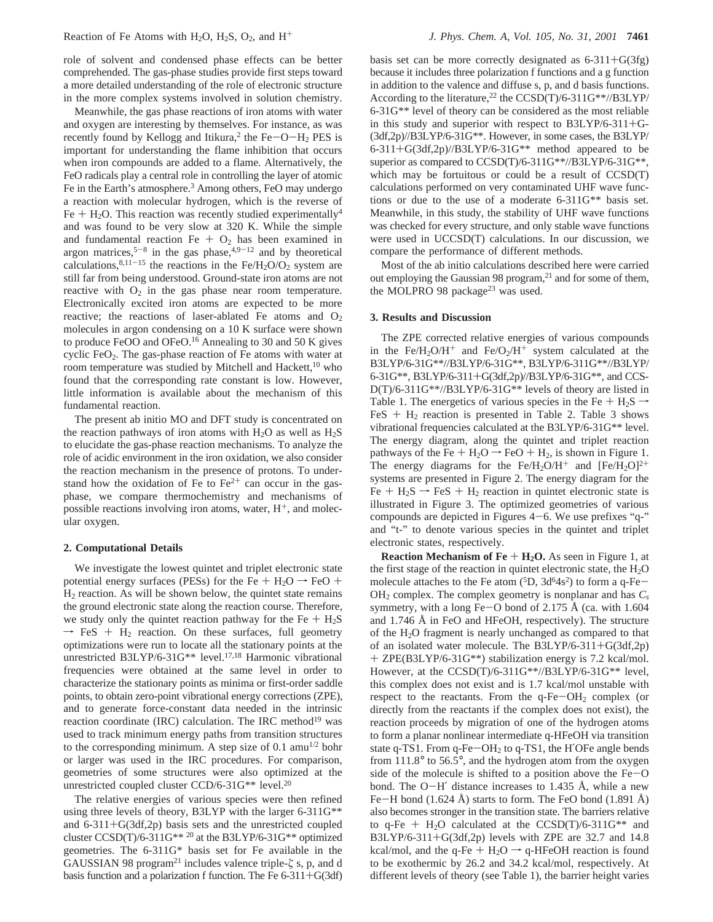role of solvent and condensed phase effects can be better comprehended. The gas-phase studies provide first steps toward a more detailed understanding of the role of electronic structure in the more complex systems involved in solution chemistry.

Meanwhile, the gas phase reactions of iron atoms with water and oxygen are interesting by themselves. For instance, as was recently found by Kellogg and Itikura,<sup>2</sup> the Fe-O-H<sub>2</sub> PES is important for understanding the flame inhibition that occurs when iron compounds are added to a flame. Alternatively, the FeO radicals play a central role in controlling the layer of atomic Fe in the Earth's atmosphere.<sup>3</sup> Among others, FeO may undergo a reaction with molecular hydrogen, which is the reverse of Fe + H<sub>2</sub>O. This reaction was recently studied experimentally<sup>4</sup> and was found to be very slow at 320 K. While the simple and fundamental reaction Fe  $+$  O<sub>2</sub> has been examined in argon matrices,<sup>5-8</sup> in the gas phase,<sup>4,9-12</sup> and by theoretical calculations, $8,11-15$  the reactions in the Fe/H<sub>2</sub>O/O<sub>2</sub> system are still far from being understood. Ground-state iron atoms are not reactive with  $O_2$  in the gas phase near room temperature. Electronically excited iron atoms are expected to be more reactive; the reactions of laser-ablated Fe atoms and  $O<sub>2</sub>$ molecules in argon condensing on a 10 K surface were shown to produce FeOO and OFeO.<sup>16</sup> Annealing to 30 and 50 K gives cyclic FeO2. The gas-phase reaction of Fe atoms with water at room temperature was studied by Mitchell and Hackett,<sup>10</sup> who found that the corresponding rate constant is low. However, little information is available about the mechanism of this fundamental reaction.

The present ab initio MO and DFT study is concentrated on the reaction pathways of iron atoms with  $H_2O$  as well as  $H_2S$ to elucidate the gas-phase reaction mechanisms. To analyze the role of acidic environment in the iron oxidation, we also consider the reaction mechanism in the presence of protons. To understand how the oxidation of Fe to  $Fe<sup>2+</sup>$  can occur in the gasphase, we compare thermochemistry and mechanisms of possible reactions involving iron atoms, water,  $H^+$ , and molecular oxygen.

#### **2. Computational Details**

We investigate the lowest quintet and triplet electronic state potential energy surfaces (PESs) for the Fe +  $H_2O \rightarrow FeO +$  $H<sub>2</sub>$  reaction. As will be shown below, the quintet state remains the ground electronic state along the reaction course. Therefore, we study only the quintet reaction pathway for the Fe +  $H_2S$  $\rightarrow$  FeS + H<sub>2</sub> reaction. On these surfaces, full geometry optimizations were run to locate all the stationary points at the unrestricted B3LYP/6-31G\*\* level.17,18 Harmonic vibrational frequencies were obtained at the same level in order to characterize the stationary points as minima or first-order saddle points, to obtain zero-point vibrational energy corrections (ZPE), and to generate force-constant data needed in the intrinsic reaction coordinate (IRC) calculation. The IRC method<sup>19</sup> was used to track minimum energy paths from transition structures to the corresponding minimum. A step size of 0.1 amu<sup>1/2</sup> bohr or larger was used in the IRC procedures. For comparison, geometries of some structures were also optimized at the unrestricted coupled cluster CCD/6-31G\*\* level.20

The relative energies of various species were then refined using three levels of theory, B3LYP with the larger 6-311G\*\* and 6-311+G(3df,2p) basis sets and the unrestricted coupled cluster CCSD(T)/6-311G\*\* <sup>20</sup> at the B3LYP/6-31G\*\* optimized geometries. The 6-311G\* basis set for Fe available in the GAUSSIAN 98 program<sup>21</sup> includes valence triple- $\zeta$  s, p, and d basis function and a polarization f function. The Fe  $6-311+G(3df)$ 

basis set can be more correctly designated as  $6-311+G(3fg)$ because it includes three polarization f functions and a g function in addition to the valence and diffuse s, p, and d basis functions. According to the literature,<sup>22</sup> the CCSD(T)/6-311G\*\*//B3LYP/ 6-31G\*\* level of theory can be considered as the most reliable in this study and superior with respect to B3LYP/6-311+G- (3df,2p)//B3LYP/6-31G\*\*. However, in some cases, the B3LYP/  $6-311+G(3df,2p)/B3LYP/6-31G**$  method appeared to be superior as compared to CCSD(T)/6-311G\*\*//B3LYP/6-31G\*\*, which may be fortuitous or could be a result of CCSD(T) calculations performed on very contaminated UHF wave functions or due to the use of a moderate 6-311G\*\* basis set. Meanwhile, in this study, the stability of UHF wave functions was checked for every structure, and only stable wave functions were used in UCCSD(T) calculations. In our discussion, we compare the performance of different methods.

Most of the ab initio calculations described here were carried out employing the Gaussian 98 program,<sup>21</sup> and for some of them, the MOLPRO 98 package<sup>23</sup> was used.

## **3. Results and Discussion**

The ZPE corrected relative energies of various compounds in the Fe/H<sub>2</sub>O/H<sup>+</sup> and Fe/O<sub>2</sub>/H<sup>+</sup> system calculated at the B3LYP/6-31G\*\*//B3LYP/6-31G\*\*, B3LYP/6-311G\*\*//B3LYP/ 6-31G\*\*, B3LYP/6-311+G(3df,2p)//B3LYP/6-31G\*\*, and CCS-D(T)/6-311G\*\*//B3LYP/6-31G\*\* levels of theory are listed in Table 1. The energetics of various species in the Fe +  $H_2S \rightarrow$ FeS  $+$  H<sub>2</sub> reaction is presented in Table 2. Table 3 shows vibrational frequencies calculated at the B3LYP/6-31G\*\* level. The energy diagram, along the quintet and triplet reaction pathways of the Fe +  $H_2O \rightarrow FeO + H_2$ , is shown in Figure 1. The energy diagrams for the Fe/H<sub>2</sub>O/H<sup>+</sup> and  $[Fe/H_2O]^{2+}$ systems are presented in Figure 2. The energy diagram for the Fe +  $H_2S \rightarrow FeS + H_2$  reaction in quintet electronic state is illustrated in Figure 3. The optimized geometries of various compounds are depicted in Figures  $4-6$ . We use prefixes "q-" and "t-" to denote various species in the quintet and triplet electronic states, respectively.

**Reaction Mechanism of**  $\mathbf{F}e + \mathbf{H}_2\mathbf{O}$ **. As seen in Figure 1, at** the first stage of the reaction in quintet electronic state, the  $H_2O$ molecule attaches to the Fe atom  $(5D, 3d<sup>6</sup>4s<sup>2</sup>)$  to form a q-Fe- $OH<sub>2</sub>$  complex. The complex geometry is nonplanar and has  $C<sub>s</sub>$ symmetry, with a long Fe-O bond of 2.175 Å (ca. with  $1.604$ ) and 1.746 Å in FeO and HFeOH, respectively). The structure of the H2O fragment is nearly unchanged as compared to that of an isolated water molecule. The B3LYP/6-311+G(3df,2p) + ZPE(B3LYP/6-31G\*\*) stabilization energy is 7.2 kcal/mol. However, at the CCSD(T)/6-311G\*\*//B3LYP/6-31G\*\* level, this complex does not exist and is 1.7 kcal/mol unstable with respect to the reactants. From the  $q$ -Fe-OH<sub>2</sub> complex (or directly from the reactants if the complex does not exist), the reaction proceeds by migration of one of the hydrogen atoms to form a planar nonlinear intermediate q-HFeOH via transition state q-TS1. From  $q$ -Fe $-OH<sub>2</sub>$  to  $q$ -TS1, the H'OFe angle bends from 111.8° to 56.5°, and the hydrogen atom from the oxygen side of the molecule is shifted to a position above the  $Fe-O$ bond. The  $O-H'$  distance increases to 1.435 Å, while a new Fe-H bond  $(1.624 \text{ Å})$  starts to form. The FeO bond  $(1.891 \text{ Å})$ also becomes stronger in the transition state. The barriers relative to q-Fe + H<sub>2</sub>O calculated at the CCSD(T)/6-311G\*\* and B3LYP/6-311+G(3df,2p) levels with ZPE are 32.7 and 14.8 kcal/mol, and the q-Fe +  $H_2O \rightarrow q$ -HFeOH reaction is found to be exothermic by 26.2 and 34.2 kcal/mol, respectively. At different levels of theory (see Table 1), the barrier height varies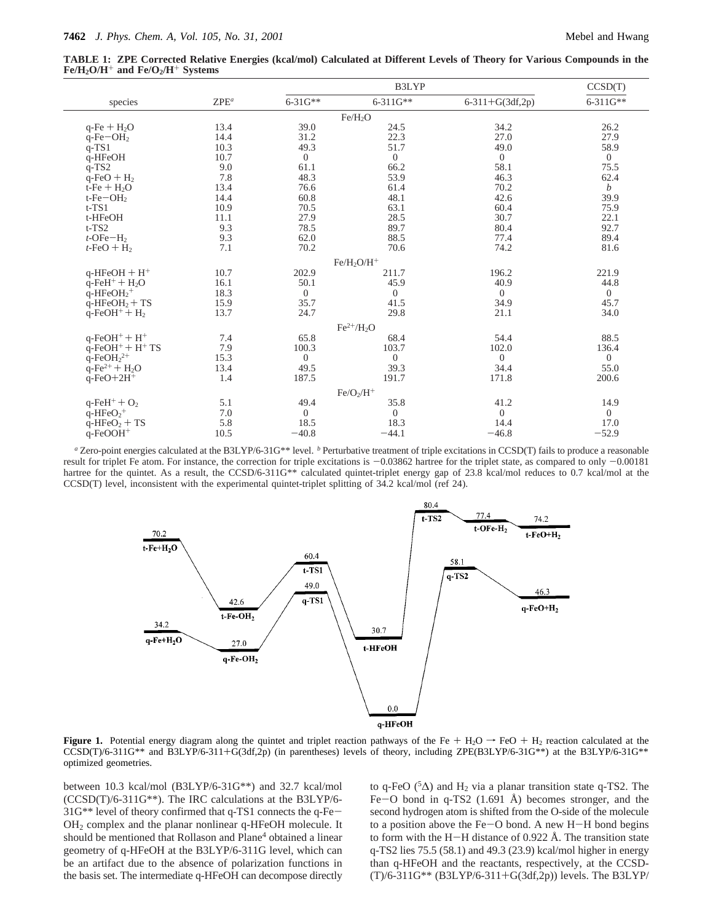**TABLE 1: ZPE Corrected Relative Energies (kcal/mol) Calculated at Different Levels of Theory for Various Compounds in the**  $Fe/H<sub>2</sub>O/H<sup>+</sup>$  and  $Fe/O<sub>2</sub>/H<sup>+</sup>$  Systems

|                                            |         | B3LYP          |                     |                   | CCSD(T)          |
|--------------------------------------------|---------|----------------|---------------------|-------------------|------------------|
| species                                    | $ZPE^a$ | $6 - 31G^{**}$ | $6 - 311G^{**}$     | $6-311+G(3df,2p)$ | $6 - 311G**$     |
|                                            |         |                | Fe/H <sub>2</sub> O |                   |                  |
| $q-Fe + H2O$                               | 13.4    | 39.0           | 24.5                | 34.2              | 26.2             |
| $q-Fe-OH2$                                 | 14.4    | 31.2           | 22.3                | 27.0              | 27.9             |
| $q-TS1$                                    | 10.3    | 49.3           | 51.7                | 49.0              | 58.9             |
| q-HFeOH                                    | 10.7    | $\overline{0}$ | $\boldsymbol{0}$    | $\overline{0}$    | $\overline{0}$   |
| $q-TS2$                                    | 9.0     | 61.1           | 66.2                | 58.1              | 75.5             |
| $q-FeO + H2$                               | 7.8     | 48.3           | 53.9                | 46.3              | 62.4             |
| $t-Fe + H2O$                               | 13.4    | 76.6           | 61.4                | 70.2              | $\boldsymbol{b}$ |
| $t$ -Fe $-OH2$                             | 14.4    | 60.8           | 48.1                | 42.6              | 39.9             |
| $t$ -TS1                                   | 10.9    | 70.5           | 63.1                | 60.4              | 75.9             |
| t-HFeOH                                    | 11.1    | 27.9           | 28.5                | 30.7              | 22.1             |
| $t$ -TS2                                   | 9.3     | 78.5           | 89.7                | 80.4              | 92.7             |
| $t$ -OFe $-H2$                             | 9.3     | 62.0           | 88.5                | 77.4              | 89.4             |
| $t$ -FeO + H <sub>2</sub>                  | 7.1     | 70.2           | 70.6                | 74.2              | 81.6             |
|                                            |         |                | $Fe/H_2O/H^+$       |                   |                  |
| $q$ -HFeOH + H <sup>+</sup>                | 10.7    | 202.9          | 211.7               | 196.2             | 221.9            |
| $q$ -FeH <sup>+</sup> + H <sub>2</sub> O   | 16.1    | 50.1           | 45.9                | 40.9              | 44.8             |
| $q$ -HFeOH <sub>2</sub> <sup>+</sup>       | 18.3    | $\overline{0}$ | $\mathbf{0}$        | $\overline{0}$    | $\overline{0}$   |
| $q$ -HFeOH <sub>2</sub> + TS               | 15.9    | 35.7           | 41.5                | 34.9              | 45.7             |
| $q$ -FeOH <sup>+</sup> + $H_2$             | 13.7    | 24.7           | 29.8                | 21.1              | 34.0             |
|                                            |         |                | $Fe^{2+}/H_2O$      |                   |                  |
| $q$ -FeOH <sup>+</sup> + H <sup>+</sup>    | 7.4     | 65.8           | 68.4                | 54.4              | 88.5             |
| $q$ -FeOH <sup>+</sup> + H <sup>+</sup> TS | 7.9     | 100.3          | 103.7               | 102.0             | 136.4            |
| $q$ -FeOH <sub>2</sub> <sup>2+</sup>       | 15.3    | $\Omega$       | $\Omega$            | $\Omega$          | $\Omega$         |
| $q-Fe^{2+} + H_2O$                         | 13.4    | 49.5           | 39.3                | 34.4              | 55.0             |
| $q$ -FeO+2H <sup>+</sup>                   | 1.4     | 187.5          | 191.7               | 171.8             | 200.6            |
|                                            |         |                | $Fe/O2/H+$          |                   |                  |
| $q$ -FeH <sup>+</sup> + $O_2$              | 5.1     | 49.4           | 35.8                | 41.2              | 14.9             |
| $q$ -HFe $O_2$ <sup>+</sup>                | 7.0     | $\overline{0}$ | $\mathbf{0}$        | $\overline{0}$    | $\overline{0}$   |
| $q$ -HFeO <sub>2</sub> + TS                | 5.8     | 18.5           | 18.3                | 14.4              | 17.0             |
| $q$ -FeOOH <sup>+</sup>                    | 10.5    | $-40.8$        | $-44.1$             | $-46.8$           | $-52.9$          |
|                                            |         |                |                     |                   |                  |

*<sup>a</sup>* Zero-point energies calculated at the B3LYP/6-31G\*\* level. *<sup>b</sup>* Perturbative treatment of triple excitations in CCSD(T) fails to produce a reasonable result for triplet Fe atom. For instance, the correction for triple excitations is -0.03862 hartree for the triplet state, as compared to only -0.00181 hartree for the quintet. As a result, the CCSD/6-311G\*\* calculated quintet-triplet energy gap of 23.8 kcal/mol reduces to 0.7 kcal/mol at the CCSD(T) level, inconsistent with the experimental quintet-triplet splitting of 34.2 kcal/mol (ref 24).



**Figure 1.** Potential energy diagram along the quintet and triplet reaction pathways of the Fe + H<sub>2</sub>O  $\rightarrow$  FeO + H<sub>2</sub> reaction calculated at the  $CCSD(T)/6-311G^{**}$  and B3LYP/6-311+G(3df,2p) (in parentheses) levels of theory, including ZPE(B3LYP/6-31G\*\*) at the B3LYP/6-31G\*\* optimized geometries.

between 10.3 kcal/mol (B3LYP/6-31G\*\*) and 32.7 kcal/mol (CCSD(T)/6-311G\*\*). The IRC calculations at the B3LYP/6- 31G\*\* level of theory confirmed that q-TS1 connects the q-Fe-OH2 complex and the planar nonlinear q-HFeOH molecule. It should be mentioned that Rollason and Plane<sup>4</sup> obtained a linear geometry of q-HFeOH at the B3LYP/6-311G level, which can be an artifact due to the absence of polarization functions in the basis set. The intermediate q-HFeOH can decompose directly to q-FeO ( $5\Delta$ ) and H<sub>2</sub> via a planar transition state q-TS2. The Fe-O bond in q-TS2 (1.691 Å) becomes stronger, and the second hydrogen atom is shifted from the O-side of the molecule to a position above the Fe-O bond. A new H-H bond begins to form with the H-H distance of 0.922 Å. The transition state q-TS2 lies 75.5 (58.1) and 49.3 (23.9) kcal/mol higher in energy than q-HFeOH and the reactants, respectively, at the CCSD- (T)/6-311G\*\* (B3LYP/6-311+G(3df,2p)) levels. The B3LYP/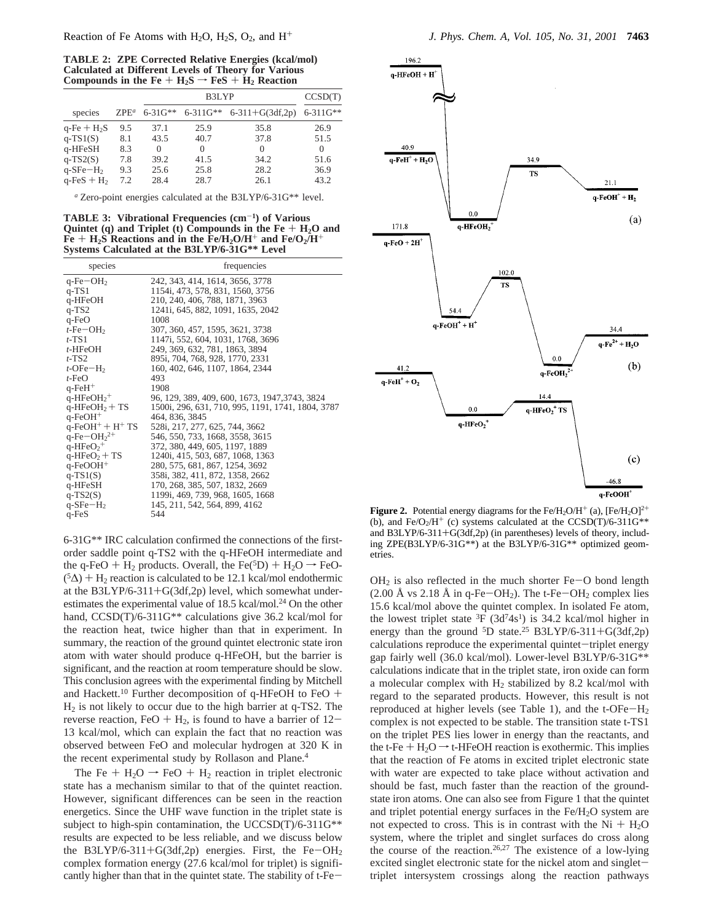**TABLE 2: ZPE Corrected Relative Energies (kcal/mol) Calculated at Different Levels of Theory for Various** Compounds in the Fe +  $H_2S \rightarrow FeS + H_2$  Reaction

|                           |         |                | CCSD(T)         |                   |                 |
|---------------------------|---------|----------------|-----------------|-------------------|-----------------|
| species                   | $ZPE^a$ | $6 - 31G^{**}$ | $6 - 311G^{**}$ | $6-311+G(3df,2p)$ | $6 - 311G^{**}$ |
| $q$ -Fe + $H_2S$          | 9.5     | 37.1           | 25.9            | 35.8              | 26.9            |
| $q-TS1(S)$                | 8.1     | 43.5           | 40.7            | 37.8              | 51.5            |
| q-HFeSH                   | 8.3     | 0              | $\Omega$        | $\Omega$          | $\Omega$        |
| $q-TS2(S)$                | 7.8     | 39.2           | 41.5            | 34.2              | 51.6            |
| $q$ -SFe $-H2$            | 9.3     | 25.6           | 25.8            | 28.2              | 36.9            |
| $q$ -FeS + H <sub>2</sub> | 7.2     | 28.4           | 28.7            | 26.1              | 43.2            |

*<sup>a</sup>* Zero-point energies calculated at the B3LYP/6-31G\*\* level.

**TABLE 3: Vibrational Frequencies (cm**-**1) of Various** Quintet (q) and Triplet (t) Compounds in the  $Fe + H<sub>2</sub>O$  and  $Fe + H<sub>2</sub>S$  Reactions and in the  $Fe/H<sub>2</sub>O/H<sup>+</sup>$  and  $Fe/O<sub>2</sub>/H<sup>+</sup>$ **Systems Calculated at the B3LYP/6-31G\*\* Level**

| species                                    | frequencies                                       |
|--------------------------------------------|---------------------------------------------------|
| $q$ -Fe $-OH2$                             | 242, 343, 414, 1614, 3656, 3778                   |
| $q-TS1$                                    | 1154i, 473, 578, 831, 1560, 3756                  |
| q-HFeOH                                    | 210, 240, 406, 788, 1871, 3963                    |
| $q-TS2$                                    | 1241i, 645, 882, 1091, 1635, 2042                 |
| q-FeO                                      | 1008                                              |
| $t$ -Fe $-OH2$                             | 307, 360, 457, 1595, 3621, 3738                   |
| $t$ -TS1                                   | 1147i, 552, 604, 1031, 1768, 3696                 |
| $t$ -HFeOH                                 | 249, 369, 632, 781, 1863, 3894                    |
| $t$ -TS2                                   | 895i, 704, 768, 928, 1770, 2331                   |
| $t$ -OFe $-H_2$                            | 160, 402, 646, 1107, 1864, 2344                   |
| $t$ -FeO                                   | 493                                               |
| $q$ -Fe $H^+$                              | 1908                                              |
| $q$ -HFeOH <sub>2</sub> <sup>+</sup>       | 96, 129, 389, 409, 600, 1673, 1947, 3743, 3824    |
| $q$ -HFeOH <sub>2</sub> + TS               | 1500i, 296, 631, 710, 995, 1191, 1741, 1804, 3787 |
| $q$ -FeOH <sup>+</sup>                     | 464, 836, 3845                                    |
| $q$ -FeOH <sup>+</sup> + H <sup>+</sup> TS | 528i, 217, 277, 625, 744, 3662                    |
| $q$ -Fe $-OH22+$                           | 546, 550, 733, 1668, 3558, 3615                   |
| $q$ -HFeO <sub>2</sub> <sup>+</sup>        | 372, 380, 449, 605, 1197, 1889                    |
| $q$ -HFeO <sub>2</sub> + TS                | 1240i, 415, 503, 687, 1068, 1363                  |
| $q$ -FeOOH <sup>+</sup>                    | 280, 575, 681, 867, 1254, 3692                    |
| $q-TS1(S)$                                 | 358i, 382, 411, 872, 1358, 2662                   |
| q-HFeSH                                    | 170, 268, 385, 507, 1832, 2669                    |
| $q-TS2(S)$                                 | 1199i, 469, 739, 968, 1605, 1668                  |
| $q$ -SFe $-H2$                             | 145, 211, 542, 564, 899, 4162                     |
| $q$ -Fe $S$                                | 544                                               |

6-31G\*\* IRC calculation confirmed the connections of the firstorder saddle point q-TS2 with the q-HFeOH intermediate and the q-FeO + H<sub>2</sub> products. Overall, the Fe( ${}^{5}D$ ) + H<sub>2</sub>O  $\rightarrow$  FeO- $(5\Delta)$  + H<sub>2</sub> reaction is calculated to be 12.1 kcal/mol endothermic at the B3LYP/6-311+G(3df,2p) level, which somewhat underestimates the experimental value of 18.5 kcal/mol.<sup>24</sup> On the other hand, CCSD(T)/6-311G<sup>\*\*</sup> calculations give 36.2 kcal/mol for the reaction heat, twice higher than that in experiment. In summary, the reaction of the ground quintet electronic state iron atom with water should produce q-HFeOH, but the barrier is significant, and the reaction at room temperature should be slow. This conclusion agrees with the experimental finding by Mitchell and Hackett.<sup>10</sup> Further decomposition of q-HFeOH to FeO +  $H<sub>2</sub>$  is not likely to occur due to the high barrier at q-TS2. The reverse reaction, FeO +  $H_2$ , is found to have a barrier of 12-13 kcal/mol, which can explain the fact that no reaction was observed between FeO and molecular hydrogen at 320 K in the recent experimental study by Rollason and Plane.4

The Fe +  $H_2O \rightarrow FeO + H_2$  reaction in triplet electronic state has a mechanism similar to that of the quintet reaction. However, significant differences can be seen in the reaction energetics. Since the UHF wave function in the triplet state is subject to high-spin contamination, the UCCSD(T)/6-311G\*\* results are expected to be less reliable, and we discuss below the B3LYP/6-311+G(3df,2p) energies. First, the Fe-OH<sub>2</sub> complex formation energy (27.6 kcal/mol for triplet) is significantly higher than that in the quintet state. The stability of t-Fe-



**Figure 2.** Potential energy diagrams for the Fe/H<sub>2</sub>O/H<sup>+</sup> (a),  $[Fe/H<sub>2</sub>O]<sup>2+</sup>$ (b), and Fe/O<sub>2</sub>/H<sup>+</sup> (c) systems calculated at the CCSD(T)/6-311G<sup>\*\*</sup> and B3LYP/6-311+G(3df,2p) (in parentheses) levels of theory, including ZPE(B3LYP/6-31G\*\*) at the B3LYP/6-31G\*\* optimized geometries.

 $OH<sub>2</sub>$  is also reflected in the much shorter Fe-O bond length (2.00 Å vs 2.18 Å in q-Fe-OH<sub>2</sub>). The t-Fe-OH<sub>2</sub> complex lies 15.6 kcal/mol above the quintet complex. In isolated Fe atom, the lowest triplet state  ${}^{3}F$  (3d<sup>7</sup>4s<sup>1</sup>) is 34.2 kcal/mol higher in energy than the ground  ${}^{5}D$  state.<sup>25</sup> B3LYP/6-311+G(3df,2p) calculations reproduce the experimental quintet-triplet energy gap fairly well (36.0 kcal/mol). Lower-level B3LYP/6-31G\*\* calculations indicate that in the triplet state, iron oxide can form a molecular complex with  $H_2$  stabilized by 8.2 kcal/mol with regard to the separated products. However, this result is not reproduced at higher levels (see Table 1), and the  $t$ -OFe $-H_2$ complex is not expected to be stable. The transition state t-TS1 on the triplet PES lies lower in energy than the reactants, and the t-Fe +  $H_2O \rightarrow$  t-HFeOH reaction is exothermic. This implies that the reaction of Fe atoms in excited triplet electronic state with water are expected to take place without activation and should be fast, much faster than the reaction of the groundstate iron atoms. One can also see from Figure 1 that the quintet and triplet potential energy surfaces in the Fe/H<sub>2</sub>O system are not expected to cross. This is in contrast with the  $Ni + H<sub>2</sub>O$ system, where the triplet and singlet surfaces do cross along the course of the reaction.<sup>26,27</sup> The existence of a low-lying excited singlet electronic state for the nickel atom and singlettriplet intersystem crossings along the reaction pathways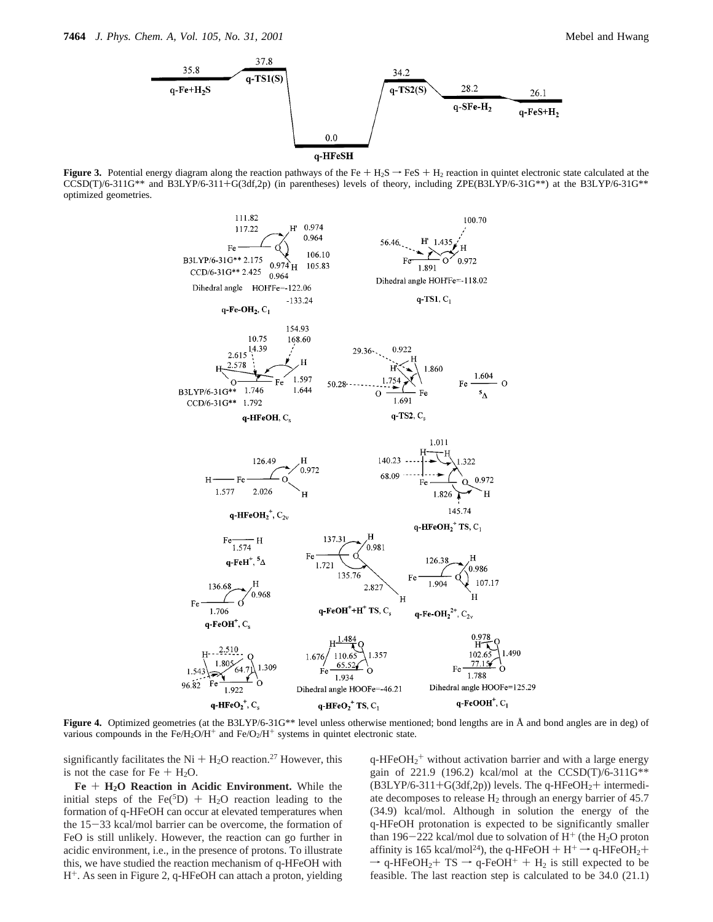

**Figure 3.** Potential energy diagram along the reaction pathways of the Fe  $+ H_2S \rightarrow FeS + H_2$  reaction in quintet electronic state calculated at the CCSD(T)/6-311G\*\* and B3LYP/6-311+G(3df,2p) (in parentheses) levels of theory, including ZPE(B3LYP/6-31G\*\*) at the B3LYP/6-31G\*\* optimized geometries.



**Figure 4.** Optimized geometries (at the B3LYP/6-31G\*\* level unless otherwise mentioned; bond lengths are in Å and bond angles are in deg) of various compounds in the  $Fe/H_2O/H^+$  and  $Fe/O_2/H^+$  systems in quintet electronic state.

significantly facilitates the Ni  $+$  H<sub>2</sub>O reaction.<sup>27</sup> However, this is not the case for Fe  $+$  H<sub>2</sub>O.

**Fe** + **H2O Reaction in Acidic Environment.** While the initial steps of the Fe( ${}^{5}D$ ) + H<sub>2</sub>O reaction leading to the formation of q-HFeOH can occur at elevated temperatures when the 15-33 kcal/mol barrier can be overcome, the formation of FeO is still unlikely. However, the reaction can go further in acidic environment, i.e., in the presence of protons. To illustrate this, we have studied the reaction mechanism of q-HFeOH with H+. As seen in Figure 2, q-HFeOH can attach a proton, yielding

 $q$ -HFeOH<sub>2</sub><sup>+</sup> without activation barrier and with a large energy gain of 221.9 (196.2) kcal/mol at the CCSD(T)/6-311G\*\*  $(B3LYP/6-311+G(3df,2p))$  levels. The q-HFeOH<sub>2</sub>+ intermediate decomposes to release  $H_2$  through an energy barrier of 45.7 (34.9) kcal/mol. Although in solution the energy of the q-HFeOH protonation is expected to be significantly smaller than 196-222 kcal/mol due to solvation of  $H^+$  (the H<sub>2</sub>O proton affinity is 165 kcal/mol<sup>24</sup>), the q-HFeOH + H<sup>+</sup>  $\rightarrow$  q-HFeOH<sub>2</sub>+  $\rightarrow$  q-HFeOH<sub>2</sub>+ TS  $\rightarrow$  q-FeOH<sup>+</sup> + H<sub>2</sub> is still expected to be feasible. The last reaction step is calculated to be 34.0 (21.1)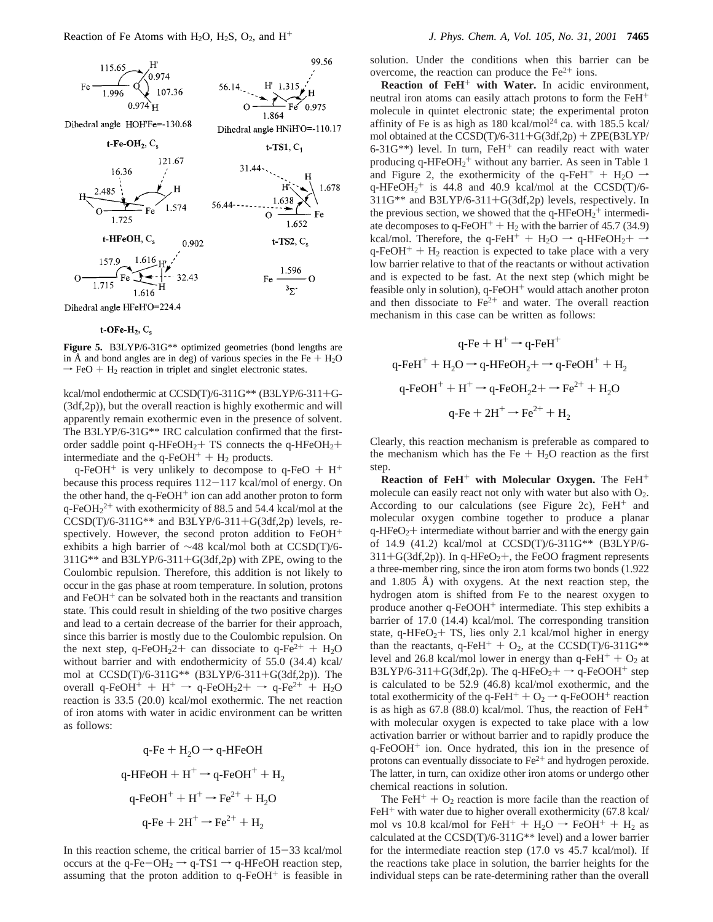

Dihedral angle HFeH'O=224.4

## t-OFe- $H_2$ ,  $C_s$

**Figure 5.** B3LYP/6-31G\*\* optimized geometries (bond lengths are in Å and bond angles are in deg) of various species in the Fe  $+$  H<sub>2</sub>O  $\rightarrow$  FeO + H<sub>2</sub> reaction in triplet and singlet electronic states.

kcal/mol endothermic at CCSD(T)/6-311G\*\* (B3LYP/6-311+G- (3df,2p)), but the overall reaction is highly exothermic and will apparently remain exothermic even in the presence of solvent. The B3LYP/6-31G\*\* IRC calculation confirmed that the firstorder saddle point q-HFeOH<sub>2</sub>+ TS connects the q-HFeOH<sub>2</sub>+ intermediate and the  $q$ -FeOH<sup>+</sup> + H<sub>2</sub> products.

q-FeOH<sup>+</sup> is very unlikely to decompose to q-FeO +  $H^+$ because this process requires  $112-117$  kcal/mol of energy. On the other hand, the  $q$ -FeOH<sup>+</sup> ion can add another proton to form  $q$ -FeOH<sub>2</sub><sup>2+</sup> with exothermicity of 88.5 and 54.4 kcal/mol at the  $CCSD(T)/6-311G**$  and  $B3LYP/6-311+G(3df,2p)$  levels, respectively. However, the second proton addition to  $FeOH<sup>+</sup>$ exhibits a high barrier of ∼48 kcal/mol both at CCSD(T)/6-  $311G^{**}$  and  $B3LYP/6-311+G(3df,2p)$  with ZPE, owing to the Coulombic repulsion. Therefore, this addition is not likely to occur in the gas phase at room temperature. In solution, protons and  $FeOH<sup>+</sup>$  can be solvated both in the reactants and transition state. This could result in shielding of the two positive charges and lead to a certain decrease of the barrier for their approach, since this barrier is mostly due to the Coulombic repulsion. On the next step, q-FeOH<sub>2</sub>2+ can dissociate to q-Fe<sup>2+</sup> + H<sub>2</sub>O without barrier and with endothermicity of 55.0 (34.4) kcal/ mol at CCSD(T)/6-311G\*\* (B3LYP/6-311+G(3df,2p)). The overall q-FeOH<sup>+</sup> + H<sup>+</sup>  $\rightarrow$  q-FeOH<sub>2</sub>2+  $\rightarrow$  q-Fe<sup>2+</sup> + H<sub>2</sub>O reaction is 33.5 (20.0) kcal/mol exothermic. The net reaction of iron atoms with water in acidic environment can be written as follows:

$$
q\text{-Fe} + H_2O \rightarrow q\text{-HFeOH}
$$
  
q-HFeOH + H<sup>+</sup>  $\rightarrow$  q-FeOH<sup>+</sup> + H<sub>2</sub>  
q-FeOH<sup>+</sup> + H<sup>+</sup>  $\rightarrow$  Fe<sup>2+</sup> + H<sub>2</sub>O  
q-Fe + 2H<sup>+</sup>  $\rightarrow$  Fe<sup>2+</sup> + H<sub>2</sub>

In this reaction scheme, the critical barrier of  $15-33$  kcal/mol occurs at the q-Fe-OH<sub>2</sub>  $\rightarrow$  q-TS1  $\rightarrow$  q-HFeOH reaction step, assuming that the proton addition to  $q$ -FeOH<sup>+</sup> is feasible in solution. Under the conditions when this barrier can be overcome, the reaction can produce the  $Fe<sup>2+</sup>$  ions.

**Reaction of FeH**<sup>+</sup> **with Water.** In acidic environment, neutral iron atoms can easily attach protons to form the FeH<sup>+</sup> molecule in quintet electronic state; the experimental proton affinity of Fe is as high as  $180 \text{ kcal/mol}^{24}$  ca. with  $185.5 \text{ kcal/}$ mol obtained at the CCSD(T)/6-311+G(3df,2p) + ZPE(B3LYP/ 6-31 $G^{**}$ ) level. In turn, FeH<sup>+</sup> can readily react with water producing  $q$ -HFeOH<sub>2</sub><sup>+</sup> without any barrier. As seen in Table 1 and Figure 2, the exothermicity of the q-FeH<sup>+</sup> + H<sub>2</sub>O  $\rightarrow$ q-HFeOH<sub>2</sub><sup>+</sup> is 44.8 and 40.9 kcal/mol at the CCSD(T)/6-311G\*\* and B3LYP/6-311+G(3df,2p) levels, respectively. In the previous section, we showed that the  $q$ -HFeOH<sub>2</sub><sup>+</sup> intermediate decomposes to q-FeOH<sup>+</sup> + H<sub>2</sub> with the barrier of 45.7 (34.9) kcal/mol. Therefore, the q-FeH<sup>+</sup> + H<sub>2</sub>O  $\rightarrow$  q-HFeOH<sub>2</sub>+  $\rightarrow$  $q$ -FeOH<sup>+</sup> + H<sub>2</sub> reaction is expected to take place with a very low barrier relative to that of the reactants or without activation and is expected to be fast. At the next step (which might be feasible only in solution), q-FeOH<sup>+</sup> would attach another proton and then dissociate to  $Fe<sup>2+</sup>$  and water. The overall reaction mechanism in this case can be written as follows:

$$
q-Fe + H^{+} \rightarrow q-FeH^{+}
$$
  
\n
$$
q-FeH^{+} + H_{2}O \rightarrow q-HFeOH_{2} + \rightarrow q-FeOH^{+} + H_{2}
$$
  
\n
$$
q-FeOH^{+} + H^{+} \rightarrow q-FeOH_{2} + \rightarrow Fe^{2+} + H_{2}O
$$
  
\n
$$
q-Fe + 2H^{+} \rightarrow Fe^{2+} + H_{2}
$$

Clearly, this reaction mechanism is preferable as compared to the mechanism which has the Fe  $+$  H<sub>2</sub>O reaction as the first step.

**Reaction of FeH**<sup>+</sup> **with Molecular Oxygen.** The FeH<sup>+</sup> molecule can easily react not only with water but also with O2. According to our calculations (see Figure 2c),  $FeH<sup>+</sup>$  and molecular oxygen combine together to produce a planar  $q$ -HFeO<sub>2</sub>+ intermediate without barrier and with the energy gain of 14.9 (41.2) kcal/mol at CCSD(T)/6-311G\*\* (B3LYP/6-  $311+G(3df,2p)$ ). In q-HFeO<sub>2</sub>+, the FeOO fragment represents a three-member ring, since the iron atom forms two bonds (1.922 and 1.805 Å) with oxygens. At the next reaction step, the hydrogen atom is shifted from Fe to the nearest oxygen to produce another q-FeOOH<sup>+</sup> intermediate. This step exhibits a barrier of 17.0 (14.4) kcal/mol. The corresponding transition state, q-HFeO<sub>2</sub>+ TS, lies only 2.1 kcal/mol higher in energy than the reactants, q-FeH<sup>+</sup> +  $O_2$ , at the CCSD(T)/6-311G\*\* level and 26.8 kcal/mol lower in energy than  $q$ -FeH<sup>+</sup> +  $O_2$  at B3LYP/6-311+G(3df,2p). The q-HFeO<sub>2</sub>+  $\rightarrow$  q-FeOOH<sup>+</sup> step is calculated to be 52.9 (46.8) kcal/mol exothermic, and the total exothermicity of the q-FeH<sup>+</sup> +  $O_2 \rightarrow$  q-FeOOH<sup>+</sup> reaction is as high as  $67.8$  (88.0) kcal/mol. Thus, the reaction of FeH<sup>+</sup> with molecular oxygen is expected to take place with a low activation barrier or without barrier and to rapidly produce the q-FeOOH<sup>+</sup> ion. Once hydrated, this ion in the presence of protons can eventually dissociate to  $Fe<sup>2+</sup>$  and hydrogen peroxide. The latter, in turn, can oxidize other iron atoms or undergo other chemical reactions in solution.

The FeH<sup>+</sup> +  $O_2$  reaction is more facile than the reaction of  $FeH<sup>+</sup>$  with water due to higher overall exothermicity (67.8 kcal/ mol vs 10.8 kcal/mol for FeH<sup>+</sup> + H<sub>2</sub>O  $\rightarrow$  FeOH<sup>+</sup> + H<sub>2</sub> as calculated at the CCSD(T)/6-311G\*\* level) and a lower barrier for the intermediate reaction step (17.0 vs 45.7 kcal/mol). If the reactions take place in solution, the barrier heights for the individual steps can be rate-determining rather than the overall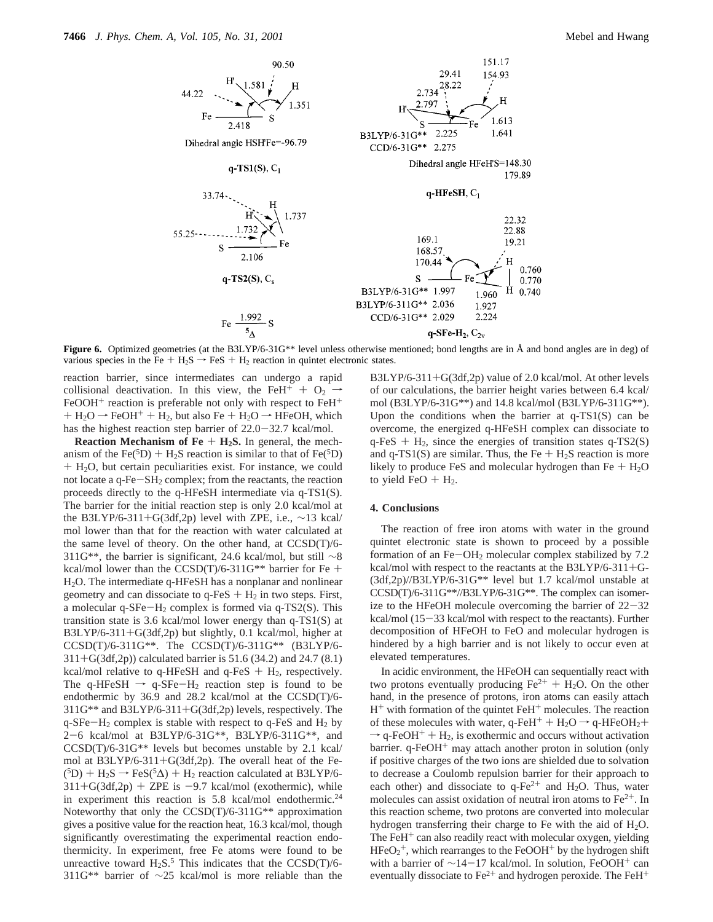

**Figure 6.** Optimized geometries (at the B3LYP/6-31G\*\* level unless otherwise mentioned; bond lengths are in Å and bond angles are in deg) of various species in the Fe +  $H_2S \rightarrow FeS + H_2$  reaction in quintet electronic states.

reaction barrier, since intermediates can undergo a rapid collisional deactivation. In this view, the FeH<sup>+</sup> + O<sub>2</sub>  $\rightarrow$ FeOOH<sup>+</sup> reaction is preferable not only with respect to FeH<sup>+</sup>  $+ H_2O \rightarrow FeOH^+ + H_2$ , but also Fe + H<sub>2</sub>O  $\rightarrow$  HFeOH, which has the highest reaction step barrier of 22.0-32.7 kcal/mol.

**Reaction Mechanism of Fe**  $+$  **<b>H<sub>2</sub>S.** In general, the mechanism of the Fe( ${}^{5}D$ ) + H<sub>2</sub>S reaction is similar to that of Fe( ${}^{5}D$ ) <sup>+</sup> H2O, but certain peculiarities exist. For instance, we could not locate a  $q$ -Fe $-SH<sub>2</sub>$  complex; from the reactants, the reaction proceeds directly to the q-HFeSH intermediate via q-TS1(S). The barrier for the initial reaction step is only 2.0 kcal/mol at the B3LYP/6-311+G(3df,2p) level with ZPE, i.e.,  $\sim$ 13 kcal/ mol lower than that for the reaction with water calculated at the same level of theory. On the other hand, at CCSD(T)/6- 311G\*\*, the barrier is significant, 24.6 kcal/mol, but still ∼8 kcal/mol lower than the  $CCSD(T)/6-311G^{**}$  barrier for Fe + H2O. The intermediate q-HFeSH has a nonplanar and nonlinear geometry and can dissociate to  $q$ -FeS +  $H_2$  in two steps. First, a molecular q-SFe $-H_2$  complex is formed via q-TS2(S). This transition state is 3.6 kcal/mol lower energy than q-TS1(S) at B3LYP/6-311+G(3df,2p) but slightly, 0.1 kcal/mol, higher at CCSD(T)/6-311G\*\*. The CCSD(T)/6-311G\*\* (B3LYP/6- <sup>311</sup>+G(3df,2p)) calculated barrier is 51.6 (34.2) and 24.7 (8.1) kcal/mol relative to q-HFeSH and q-FeS  $+$  H<sub>2</sub>, respectively. The q-HFeSH  $\rightarrow$  q-SFe-H<sub>2</sub> reaction step is found to be endothermic by 36.9 and 28.2 kcal/mol at the CCSD(T)/6- 311G\*\* and B3LYP/6-311+G(3df,2p) levels, respectively. The  $q$ -SFe $-H_2$  complex is stable with respect to  $q$ -FeS and  $H_2$  by <sup>2</sup>-6 kcal/mol at B3LYP/6-31G\*\*, B3LYP/6-311G\*\*, and CCSD(T)/6-31G\*\* levels but becomes unstable by 2.1 kcal/ mol at B3LYP/6-311+G(3df,2p). The overall heat of the Fe-  $(5D)$  + H<sub>2</sub>S → FeS( $5\Delta$ ) + H<sub>2</sub> reaction calculated at B3LYP/6- $311+G(3df,2p) + ZPE$  is  $-9.7$  kcal/mol (exothermic), while in experiment this reaction is  $5.8$  kcal/mol endothermic.<sup>24</sup> Noteworthy that only the CCSD(T)/6-311G\*\* approximation gives a positive value for the reaction heat, 16.3 kcal/mol, though significantly overestimating the experimental reaction endothermicity. In experiment, free Fe atoms were found to be unreactive toward  $H_2S$ .<sup>5</sup> This indicates that the CCSD(T)/6-311G\*\* barrier of ∼25 kcal/mol is more reliable than the

B3LYP/6-311+G(3df,2p) value of 2.0 kcal/mol. At other levels of our calculations, the barrier height varies between 6.4 kcal/ mol (B3LYP/6-31G\*\*) and 14.8 kcal/mol (B3LYP/6-311G\*\*). Upon the conditions when the barrier at q-TS1(S) can be overcome, the energized q-HFeSH complex can dissociate to  $q$ -FeS + H<sub>2</sub>, since the energies of transition states  $q$ -TS2(S) and q-TS1(S) are similar. Thus, the Fe  $+$  H<sub>2</sub>S reaction is more likely to produce FeS and molecular hydrogen than  $Fe + H<sub>2</sub>O$ to yield FeO  $+$  H<sub>2</sub>.

#### **4. Conclusions**

The reaction of free iron atoms with water in the ground quintet electronic state is shown to proceed by a possible formation of an  $Fe-OH<sub>2</sub>$  molecular complex stabilized by 7.2 kcal/mol with respect to the reactants at the B3LYP/6-311+G- (3df,2p)//B3LYP/6-31G\*\* level but 1.7 kcal/mol unstable at CCSD(T)/6-311G\*\*//B3LYP/6-31G\*\*. The complex can isomerize to the HFeOH molecule overcoming the barrier of  $22-32$ kcal/mol (15-33 kcal/mol with respect to the reactants). Further decomposition of HFeOH to FeO and molecular hydrogen is hindered by a high barrier and is not likely to occur even at elevated temperatures.

In acidic environment, the HFeOH can sequentially react with two protons eventually producing  $Fe^{2+} + H_2O$ . On the other hand, in the presence of protons, iron atoms can easily attach  $H^+$  with formation of the quintet FeH<sup>+</sup> molecules. The reaction of these molecules with water,  $q$ -FeH<sup>+</sup> + H<sub>2</sub>O  $\rightarrow$  q-HFeOH<sub>2</sub>+  $\rightarrow$  q-FeOH<sup>+</sup> + H<sub>2</sub>, is exothermic and occurs without activation barrier. q-FeOH<sup>+</sup> may attach another proton in solution (only if positive charges of the two ions are shielded due to solvation to decrease a Coulomb repulsion barrier for their approach to each other) and dissociate to  $q-Fe^{2+}$  and  $H_2O$ . Thus, water molecules can assist oxidation of neutral iron atoms to  $Fe<sup>2+</sup>$ . In this reaction scheme, two protons are converted into molecular hydrogen transferring their charge to Fe with the aid of H<sub>2</sub>O. The FeH $+$  can also readily react with molecular oxygen, yielding  $HFeO<sub>2</sub><sup>+</sup>$ , which rearranges to the FeOOH<sup>+</sup> by the hydrogen shift with a barrier of  $\sim$ 14-17 kcal/mol. In solution, FeOOH<sup>+</sup> can eventually dissociate to  $Fe^{2+}$  and hydrogen peroxide. The FeH<sup>+</sup>